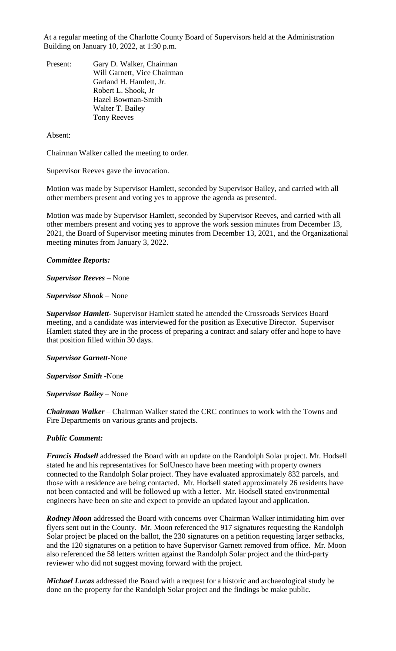At a regular meeting of the Charlotte County Board of Supervisors held at the Administration Building on January 10, 2022, at 1:30 p.m.

Present: Gary D. Walker, Chairman Will Garnett, Vice Chairman Garland H. Hamlett, Jr. Robert L. Shook, Jr Hazel Bowman-Smith Walter T. Bailey Tony Reeves

Absent:

Chairman Walker called the meeting to order.

Supervisor Reeves gave the invocation.

Motion was made by Supervisor Hamlett, seconded by Supervisor Bailey, and carried with all other members present and voting yes to approve the agenda as presented.

Motion was made by Supervisor Hamlett, seconded by Supervisor Reeves, and carried with all other members present and voting yes to approve the work session minutes from December 13, 2021, the Board of Supervisor meeting minutes from December 13, 2021, and the Organizational meeting minutes from January 3, 2022.

## *Committee Reports:*

*Supervisor Reeves* – None

*Supervisor Shook* – None

*Supervisor Hamlett*- Supervisor Hamlett stated he attended the Crossroads Services Board meeting, and a candidate was interviewed for the position as Executive Director. Supervisor Hamlett stated they are in the process of preparing a contract and salary offer and hope to have that position filled within 30 days.

*Supervisor Garnett*-None

*Supervisor Smith* -None

*Supervisor Bailey* – None

*Chairman Walker* – Chairman Walker stated the CRC continues to work with the Towns and Fire Departments on various grants and projects.

### *Public Comment:*

*Francis Hodsell* addressed the Board with an update on the Randolph Solar project. Mr. Hodsell stated he and his representatives for SolUnesco have been meeting with property owners connected to the Randolph Solar project. They have evaluated approximately 832 parcels, and those with a residence are being contacted. Mr. Hodsell stated approximately 26 residents have not been contacted and will be followed up with a letter. Mr. Hodsell stated environmental engineers have been on site and expect to provide an updated layout and application.

*Rodney Moon* addressed the Board with concerns over Chairman Walker intimidating him over flyers sent out in the County. Mr. Moon referenced the 917 signatures requesting the Randolph Solar project be placed on the ballot, the 230 signatures on a petition requesting larger setbacks, and the 120 signatures on a petition to have Supervisor Garnett removed from office. Mr. Moon also referenced the 58 letters written against the Randolph Solar project and the third-party reviewer who did not suggest moving forward with the project.

*Michael Lucas* addressed the Board with a request for a historic and archaeological study be done on the property for the Randolph Solar project and the findings be make public.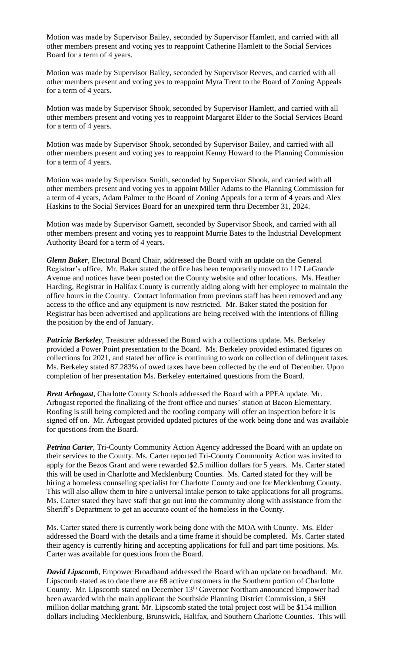Motion was made by Supervisor Bailey, seconded by Supervisor Hamlett, and carried with all other members present and voting yes to reappoint Catherine Hamlett to the Social Services Board for a term of 4 years.

Motion was made by Supervisor Bailey, seconded by Supervisor Reeves, and carried with all other members present and voting yes to reappoint Myra Trent to the Board of Zoning Appeals for a term of 4 years.

Motion was made by Supervisor Shook, seconded by Supervisor Hamlett, and carried with all other members present and voting yes to reappoint Margaret Elder to the Social Services Board for a term of 4 years.

Motion was made by Supervisor Shook, seconded by Supervisor Bailey, and carried with all other members present and voting yes to reappoint Kenny Howard to the Planning Commission for a term of 4 years.

Motion was made by Supervisor Smith, seconded by Supervisor Shook, and carried with all other members present and voting yes to appoint Miller Adams to the Planning Commission for a term of 4 years, Adam Palmer to the Board of Zoning Appeals for a term of 4 years and Alex Haskins to the Social Services Board for an unexpired term thru December 31, 2024.

Motion was made by Supervisor Garnett, seconded by Supervisor Shook, and carried with all other members present and voting yes to reappoint Murrie Bates to the Industrial Development Authority Board for a term of 4 years.

*Glenn Baker*, Electoral Board Chair, addressed the Board with an update on the General Registrar's office. Mr. Baker stated the office has been temporarily moved to 117 LeGrande Avenue and notices have been posted on the County website and other locations. Ms. Heather Harding, Registrar in Halifax County is currently aiding along with her employee to maintain the office hours in the County. Contact information from previous staff has been removed and any access to the office and any equipment is now restricted. Mr. Baker stated the position for Registrar has been advertised and applications are being received with the intentions of filling the position by the end of January.

*Patricia Berkeley*, Treasurer addressed the Board with a collections update. Ms. Berkeley provided a Power Point presentation to the Board. Ms. Berkeley provided estimated figures on collections for 2021, and stated her office is continuing to work on collection of delinquent taxes. Ms. Berkeley stated 87.283% of owed taxes have been collected by the end of December. Upon completion of her presentation Ms. Berkeley entertained questions from the Board.

*Brett Arbogast*, Charlotte County Schools addressed the Board with a PPEA update. Mr. Arbogast reported the finalizing of the front office and nurses' station at Bacon Elementary. Roofing is still being completed and the roofing company will offer an inspection before it is signed off on. Mr. Arbogast provided updated pictures of the work being done and was available for questions from the Board.

*Petrina Carter*, Tri-County Community Action Agency addressed the Board with an update on their services to the County. Ms. Carter reported Tri-County Community Action was invited to apply for the Bezos Grant and were rewarded \$2.5 million dollars for 5 years. Ms. Carter stated this will be used in Charlotte and Mecklenburg Counties. Ms. Carted stated for they will be hiring a homeless counseling specialist for Charlotte County and one for Mecklenburg County. This will also allow them to hire a universal intake person to take applications for all programs. Ms. Carter stated they have staff that go out into the community along with assistance from the Sheriff's Department to get an accurate count of the homeless in the County.

Ms. Carter stated there is currently work being done with the MOA with County. Ms. Elder addressed the Board with the details and a time frame it should be completed. Ms. Carter stated their agency is currently hiring and accepting applications for full and part time positions. Ms. Carter was available for questions from the Board.

*David Lipscomb*, Empower Broadband addressed the Board with an update on broadband. Mr. Lipscomb stated as to date there are 68 active customers in the Southern portion of Charlotte County. Mr. Lipscomb stated on December 13<sup>th</sup> Governor Northam announced Empower had been awarded with the main applicant the Southside Planning District Commission, a \$69 million dollar matching grant. Mr. Lipscomb stated the total project cost will be \$154 million dollars including Mecklenburg, Brunswick, Halifax, and Southern Charlotte Counties. This will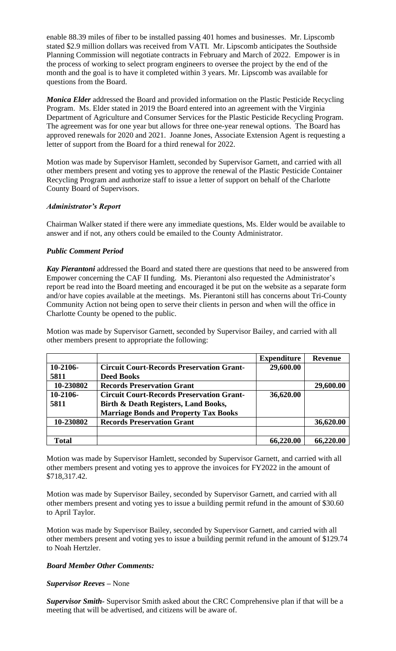enable 88.39 miles of fiber to be installed passing 401 homes and businesses. Mr. Lipscomb stated \$2.9 million dollars was received from VATI. Mr. Lipscomb anticipates the Southside Planning Commission will negotiate contracts in February and March of 2022. Empower is in the process of working to select program engineers to oversee the project by the end of the month and the goal is to have it completed within 3 years. Mr. Lipscomb was available for questions from the Board.

*Monica Elder* addressed the Board and provided information on the Plastic Pesticide Recycling Program. Ms. Elder stated in 2019 the Board entered into an agreement with the Virginia Department of Agriculture and Consumer Services for the Plastic Pesticide Recycling Program. The agreement was for one year but allows for three one-year renewal options. The Board has approved renewals for 2020 and 2021. Joanne Jones, Associate Extension Agent is requesting a letter of support from the Board for a third renewal for 2022.

Motion was made by Supervisor Hamlett, seconded by Supervisor Garnett, and carried with all other members present and voting yes to approve the renewal of the Plastic Pesticide Container Recycling Program and authorize staff to issue a letter of support on behalf of the Charlotte County Board of Supervisors.

# *Administrator's Report*

Chairman Walker stated if there were any immediate questions, Ms. Elder would be available to answer and if not, any others could be emailed to the County Administrator.

# *Public Comment Period*

*Kay Pierantoni* addressed the Board and stated there are questions that need to be answered from Empower concerning the CAF II funding. Ms. Pierantoni also requested the Administrator's report be read into the Board meeting and encouraged it be put on the website as a separate form and/or have copies available at the meetings. Ms. Pierantoni still has concerns about Tri-County Community Action not being open to serve their clients in person and when will the office in Charlotte County be opened to the public.

Motion was made by Supervisor Garnett, seconded by Supervisor Bailey, and carried with all other members present to appropriate the following:

|              |                                                  | <b>Expenditure</b> | <b>Revenue</b> |
|--------------|--------------------------------------------------|--------------------|----------------|
| $10-2106-$   | <b>Circuit Court-Records Preservation Grant-</b> | 29,600.00          |                |
| 5811         | <b>Deed Books</b>                                |                    |                |
| 10-230802    | <b>Records Preservation Grant</b>                |                    | 29,600.00      |
| $10-2106-$   | <b>Circuit Court-Records Preservation Grant-</b> | 36,620.00          |                |
| 5811         | Birth & Death Registers, Land Books,             |                    |                |
|              | <b>Marriage Bonds and Property Tax Books</b>     |                    |                |
| 10-230802    | <b>Records Preservation Grant</b>                |                    | 36,620.00      |
|              |                                                  |                    |                |
| <b>Total</b> |                                                  | 66,220.00          | 66,220.00      |

Motion was made by Supervisor Hamlett, seconded by Supervisor Garnett, and carried with all other members present and voting yes to approve the invoices for FY2022 in the amount of \$718,317.42.

Motion was made by Supervisor Bailey, seconded by Supervisor Garnett, and carried with all other members present and voting yes to issue a building permit refund in the amount of \$30.60 to April Taylor.

Motion was made by Supervisor Bailey, seconded by Supervisor Garnett, and carried with all other members present and voting yes to issue a building permit refund in the amount of \$129.74 to Noah Hertzler.

### *Board Member Other Comments:*

*Supervisor Reeves –* None

*Supervisor Smith-* Supervisor Smith asked about the CRC Comprehensive plan if that will be a meeting that will be advertised, and citizens will be aware of.